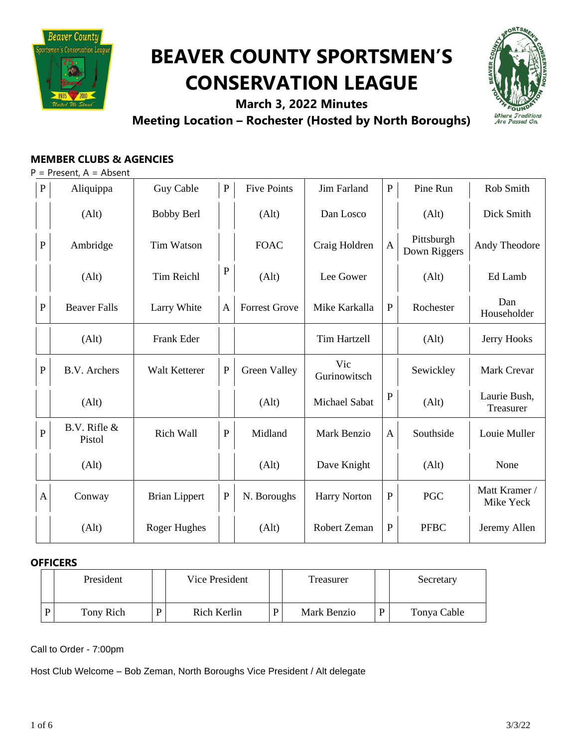

# **BEAVER COUNTY SPORTSMEN'S CONSERVATION LEAGUE**



**March 3, 2022 Minutes Meeting Location – Rochester (Hosted by North Boroughs)**

# **MEMBER CLUBS & AGENCIES**

| $P =$ Present, $A =$ Absent |
|-----------------------------|
|-----------------------------|

| ${\bf P}$      | Aliquippa                  | Guy Cable            | ${\bf P}$    | <b>Five Points</b>   | <b>Jim Farland</b>  | $\mathbf{P}$ | Pine Run                   | Rob Smith                  |
|----------------|----------------------------|----------------------|--------------|----------------------|---------------------|--------------|----------------------------|----------------------------|
|                | (Alt)                      | <b>Bobby Berl</b>    |              | (Alt)                | Dan Losco           |              | (Alt)                      | Dick Smith                 |
| $\mathbf P$    | Ambridge                   | Tim Watson           |              | <b>FOAC</b>          | Craig Holdren       | $\mathbf{A}$ | Pittsburgh<br>Down Riggers | Andy Theodore              |
|                | (Alt)                      | <b>Tim Reichl</b>    | $\mathbf{P}$ | (Alt)                | Lee Gower           |              | (Alt)                      | Ed Lamb                    |
| ${\bf P}$      | <b>Beaver Falls</b>        | Larry White          | $\mathbf{A}$ | <b>Forrest Grove</b> | Mike Karkalla       | ${\bf P}$    | Rochester                  | Dan<br>Householder         |
|                | (Alt)                      | Frank Eder           |              |                      | <b>Tim Hartzell</b> |              | (Alt)                      | Jerry Hooks                |
| $\mathbf P$    | B.V. Archers               | Walt Ketterer        | $\mathbf{P}$ | Green Valley         | Vic<br>Gurinowitsch |              | Sewickley                  | Mark Crevar                |
|                | (Alt)                      |                      |              | (Alt)                | Michael Sabat       | $\mathbf P$  | (Alt)                      | Laurie Bush,<br>Treasurer  |
| $\overline{P}$ | $B.V.$ Rifle $&$<br>Pistol | <b>Rich Wall</b>     | $\mathbf{P}$ | Midland              | <b>Mark Benzio</b>  | $\mathbf{A}$ | Southside                  | Louie Muller               |
|                | (Alt)                      |                      |              | (Alt)                | Dave Knight         |              | (Alt)                      | None                       |
| $\mathbf{A}$   | Conway                     | <b>Brian Lippert</b> | ${\bf P}$    | N. Boroughs          | <b>Harry Norton</b> | ${\bf P}$    | <b>PGC</b>                 | Matt Kramer /<br>Mike Yeck |
|                | (Alt)                      | <b>Roger Hughes</b>  |              | (Alt)                | Robert Zeman        | $\mathbf P$  | <b>PFBC</b>                | Jeremy Allen               |

### **OFFICERS**

| President |   | Vice President |   |             | Secretary   |  |
|-----------|---|----------------|---|-------------|-------------|--|
| Tony Rich | D | Rich Kerlin    | D | Mark Benzio | Tonya Cable |  |

Call to Order - 7:00pm

Host Club Welcome – Bob Zeman, North Boroughs Vice President / Alt delegate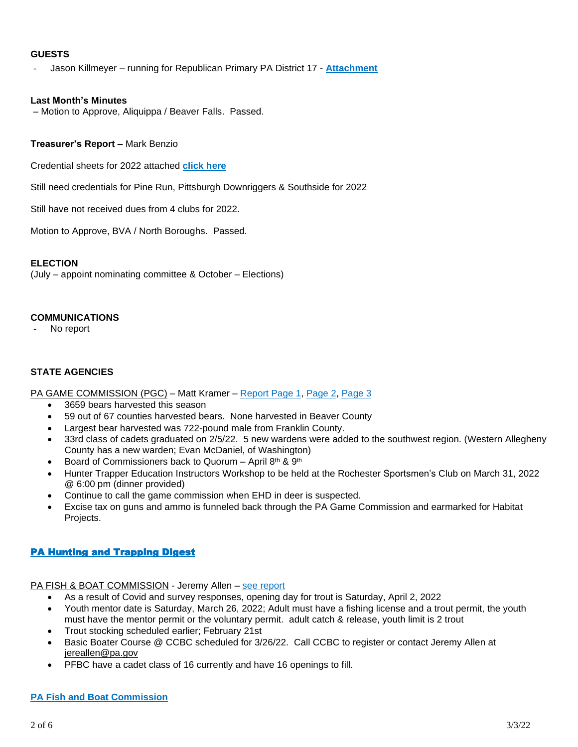#### **GUESTS**

- Jason Killmeyer – running for Republican Primary PA District 17 - **[Attachment](https://drive.google.com/file/d/1T044IkEJeooRq5U7Vn69OcvlPcZaEKAH/view?usp=sharing)**

#### **Last Month's Minutes**

– Motion to Approve, Aliquippa / Beaver Falls. Passed.

#### **Treasurer's Report –** Mark Benzio

Credential sheets for 2022 attached **[click](https://drive.google.com/file/d/1eXXM7Y5mweJjbnihy1O4zx8pea-DmjKC/view?usp=sharing) here**

Still need credentials for Pine Run, Pittsburgh Downriggers & Southside for 2022

Still have not received dues from 4 clubs for 2022.

Motion to Approve, BVA / North Boroughs. Passed.

#### **ELECTION**

(July – appoint nominating committee & October – Elections)

#### **COMMUNICATIONS**

No report

#### **STATE AGENCIES**

PA GAME COMMISSION (PGC) – Matt Kramer – [Report](https://drive.google.com/file/d/1kD0An4LYUuKtraBUphWAqUH14sBRcy8z/view?usp=sharing) [Page](https://drive.google.com/file/d/1ZMlL_m-ZSv0z-mH7ZGj4gMIaqiD5Ip-F/view?usp=sharing) 1, Page 2, Page 3

- 3659 bears harvested this season
- 59 out of 67 counties harvested bears. None harvested in Beaver County
- Largest bear harvested was 722-pound male from Franklin County.
- 33rd class of cadets graduated on 2/5/22. 5 new wardens were added to the southwest region. (Western Allegheny County has a new warden; Evan McDaniel, of Washington)
- Board of Commissioners back to Quorum April  $8<sup>th</sup>$  &  $9<sup>th</sup>$
- Hunter Trapper Education Instructors Workshop to be held at the Rochester Sportsmen's Club on March 31, 2022 @ 6:00 pm (dinner provided)
- Continue to call the game commission when EHD in deer is suspected.
- Excise tax on guns and ammo is funneled back through the PA Game Commission and earmarked for Habitat Projects.

#### **PA Hunting and Trapping Digest**

# PA FISH & BOAT COMMISSION - Jeremy Allen - see [report](https://drive.google.com/file/d/1S6W2p3BKrMFOGgJiOlkf7CYxHjVC5cmF/view?usp=sharing)

- As a result of Covid and survey responses, opening day for trout is Saturday, April 2, 2022
- Youth mentor date is Saturday, March 26, 2022; Adult must have a fishing license and a trout permit, the youth must have the mentor permit or the voluntary permit. adult catch & release, youth limit is 2 trout
- Trout stocking scheduled earlier; February 21st
- Basic Boater Course @ CCBC scheduled for 3/26/22. Call CCBC to register or contact Jeremy Allen at [jereallen@pa.gov](mailto:jereallen@pa.gov)
- PFBC have a cadet class of 16 currently and have 16 openings to fill.

# **PA Fish and Boat [Commission](https://www.fishandboat.com/Fish/FishingLicense/Pages/BuyAFishingLicense.aspx)**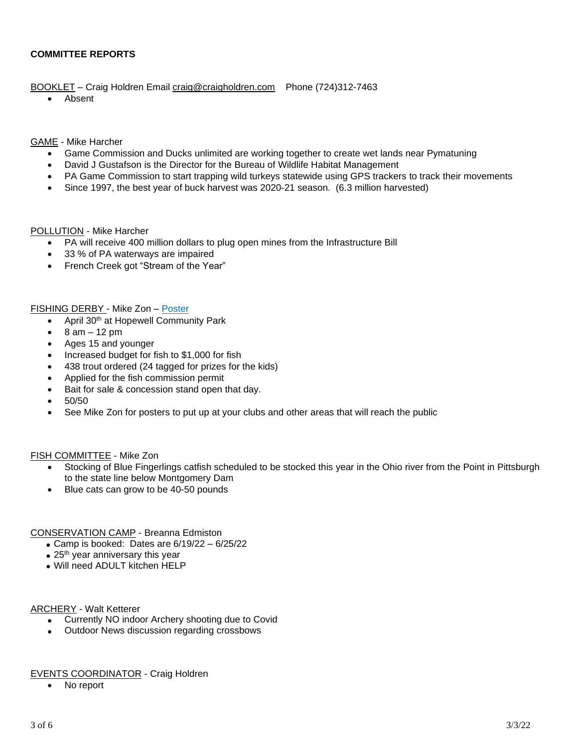#### **COMMITTEE REPORTS**

BOOKLET - Craig Holdren Email [craig@craigholdren.com](mailto:craig@craigholdren.com) Phone (724)312-7463

• Absent

#### GAME - Mike Harcher

- Game Commission and Ducks unlimited are working together to create wet lands near Pymatuning
- David J Gustafson is the Director for the Bureau of Wildlife Habitat Management
- PA Game Commission to start trapping wild turkeys statewide using GPS trackers to track their movements
- Since 1997, the best year of buck harvest was 2020-21 season. (6.3 million harvested)

#### POLLUTION - Mike Harcher

- PA will receive 400 million dollars to plug open mines from the Infrastructure Bill
- 33 % of PA waterways are impaired
- French Creek got "Stream of the Year"

#### FISHING DERBY - Mike Zon – [Poster](https://drive.google.com/file/d/10ZrkUTStJYvok-j3yAE2Wg0z1B5jL7Mj/view?usp=sharing)

- April 30<sup>th</sup> at Hopewell Community Park
- $\bullet$  8 am 12 pm
- Ages 15 and younger
- Increased budget for fish to \$1,000 for fish
- 438 trout ordered (24 tagged for prizes for the kids)
- Applied for the fish commission permit
- Bait for sale & concession stand open that day.
- 50/50
- See Mike Zon for posters to put up at your clubs and other areas that will reach the public

#### FISH COMMITTEE - Mike Zon

- Stocking of Blue Fingerlings catfish scheduled to be stocked this year in the Ohio river from the Point in Pittsburgh to the state line below Montgomery Dam
- Blue cats can grow to be 40-50 pounds

CONSERVATION CAMP - Breanna Edmiston

- Camp is booked: Dates are 6/19/22 6/25/22
- $\bullet$  25<sup>th</sup> year anniversary this year
- Will need ADULT kitchen HELP

#### ARCHERY - Walt Ketterer

- Currently NO indoor Archery shooting due to Covid
- Outdoor News discussion regarding crossbows

#### EVENTS COORDINATOR - Craig Holdren

• No report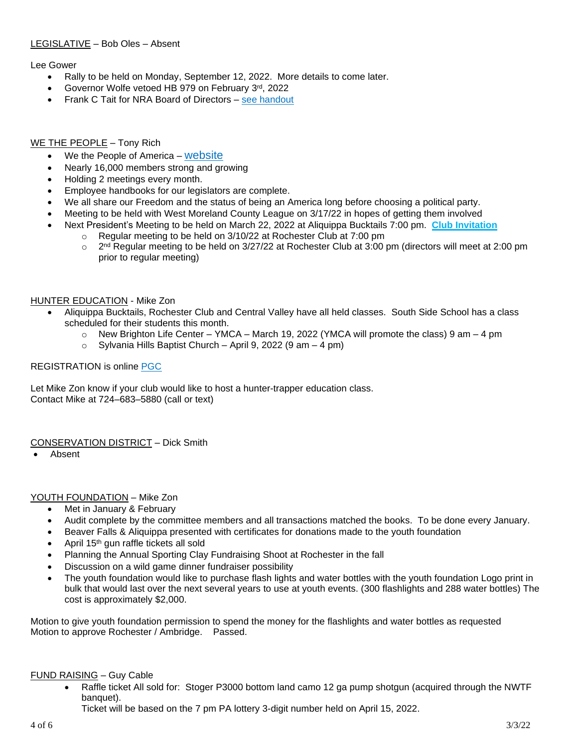#### LEGISLATIVE – Bob Oles – Absent

#### Lee Gower

- Rally to be held on Monday, September 12, 2022. More details to come later.
- Governor Wolfe vetoed HB 979 on February 3rd, 2022
- Frank C Tait for NRA Board of Directors see [handout](https://drive.google.com/file/d/16qvyNxSkSJHdXROo90htM-42Rv3V9Pm2/view?usp=sharing)

#### WE THE PEOPLE – Tony Rich

- We the People of America [website](https://www.wtpoa.net/)
- Nearly 16,000 members strong and growing
- Holding 2 meetings every month.
- Employee handbooks for our legislators are complete.
- We all share our Freedom and the status of being an America long before choosing a political party.
- Meeting to be held with West Moreland County League on 3/17/22 in hopes of getting them involved
- Next President's Meeting to be held on March 22, 2022 at Aliquippa Bucktails 7:00 pm. **Club [Invitation](https://drive.google.com/file/d/1ZrjD2XxVSiSw4JydBbS6skZIeprSJNrj/view?usp=sharing)**
	- o Regular meeting to be held on 3/10/22 at Rochester Club at 7:00 pm
	- $\Omega$  $2<sup>nd</sup>$  Regular meeting to be held on  $3/27/22$  at Rochester Club at 3:00 pm (directors will meet at 2:00 pm prior to regular meeting)

#### HUNTER EDUCATION - Mike Zon

- Aliquippa Bucktails, Rochester Club and Central Valley have all held classes. South Side School has a class scheduled for their students this month.
	- $\circ$  New Brighton Life Center YMCA March 19, 2022 (YMCA will promote the class) 9 am 4 pm
	- $\circ$  Sylvania Hills Baptist Church April 9, 2022 (9 am 4 pm)

#### REGISTRATION is online [PGC](https://www.register-ed.com/programs/25?utm_source=HTE_Class_Calendar_Page&utm_medium=page_link&utm_campaign=HTE_Course)

Let Mike Zon know if your club would like to host a hunter-trapper education class. Contact Mike at 724–683–5880 (call or text)

#### CONSERVATION DISTRICT – Dick Smith

• Absent

#### YOUTH FOUNDATION – Mike Zon

- Met in January & February
- Audit complete by the committee members and all transactions matched the books. To be done every January.
- Beaver Falls & Aliquippa presented with certificates for donations made to the youth foundation
- April 15<sup>th</sup> gun raffle tickets all sold
- Planning the Annual Sporting Clay Fundraising Shoot at Rochester in the fall
- Discussion on a wild game dinner fundraiser possibility
- The youth foundation would like to purchase flash lights and water bottles with the youth foundation Logo print in bulk that would last over the next several years to use at youth events. (300 flashlights and 288 water bottles) The cost is approximately \$2,000.

Motion to give youth foundation permission to spend the money for the flashlights and water bottles as requested Motion to approve Rochester / Ambridge. Passed.

#### FUND RAISING – Guy Cable

• Raffle ticket All sold for: Stoger P3000 bottom land camo 12 ga pump shotgun (acquired through the NWTF banquet).

Ticket will be based on the 7 pm PA lottery 3-digit number held on April 15, 2022.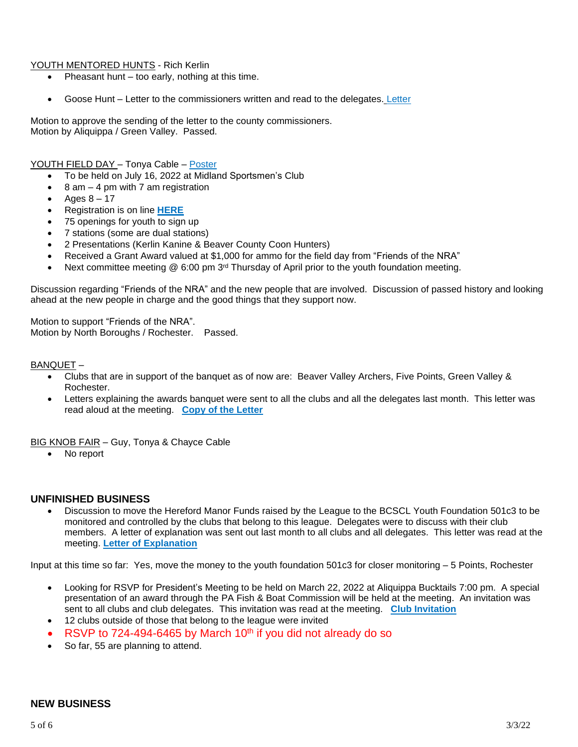#### YOUTH MENTORED HUNTS - Rich Kerlin

- Pheasant hunt too early, nothing at this time.
- Goose Hunt [Letter](https://drive.google.com/file/d/16YqifzKVKHccM8Q-Fy6LED6K7mSVQnkT/view?usp=sharing) to the commissioners written and read to the delegates. Letter

Motion to approve the sending of the letter to the county commissioners. Motion by Aliquippa / Green Valley. Passed.

#### YOUTH FIELD DAY – Tonya Cable – [Poster](https://drive.google.com/file/d/1i0n4afOanIeXPaD2e_D2duhibIyNpWww/view?usp=sharing)

- To be held on July 16, 2022 at Midland Sportsmen's Club
- $8$  am  $-$  4 pm with 7 am registration
- Ages  $8 17$
- Registration is on line **[HERE](https://www.register-ed.com/events/view/178825)**
- 75 openings for youth to sign up
- 7 stations (some are dual stations)
- 2 Presentations (Kerlin Kanine & Beaver County Coon Hunters)
- Received a Grant Award valued at \$1,000 for ammo for the field day from "Friends of the NRA"
- Next committee meeting  $@$  6:00 pm  $3<sup>rd</sup>$  Thursday of April prior to the youth foundation meeting.

Discussion regarding "Friends of the NRA" and the new people that are involved. Discussion of passed history and looking ahead at the new people in charge and the good things that they support now.

Motion to support "Friends of the NRA". Motion by North Boroughs / Rochester. Passed.

#### BANQUET –

- Clubs that are in support of the banquet as of now are: Beaver Valley Archers, Five Points, Green Valley & Rochester.
- Letters explaining the awards banquet were sent to all the clubs and all the delegates last month. This letter was read aloud at the meeting. **Copy of the [Letter](https://drive.google.com/file/d/1DhEmuewFaw2btmCHpH18jwRO5RrcCKuQ/view?usp=sharing)**

BIG KNOB FAIR - Guy, Tonya & Chayce Cable

• No report

#### **UNFINISHED BUSINESS**

• Discussion to move the Hereford Manor Funds raised by the League to the BCSCL Youth Foundation 501c3 to be monitored and controlled by the clubs that belong to this league. Delegates were to discuss with their club members. A letter of explanation was sent out last month to all clubs and all delegates. This letter was read at the meeting. **Letter of [Explanation](https://drive.google.com/file/d/1aviQAJ7f6iId8rg98VMTgnzx4Fce9Ve7/view?usp=sharing)**

Input at this time so far: Yes, move the money to the youth foundation 501c3 for closer monitoring – 5 Points, Rochester

- Looking for RSVP for President's Meeting to be held on March 22, 2022 at Aliquippa Bucktails 7:00 pm. A special presentation of an award through the PA Fish & Boat Commission will be held at the meeting. An invitation was sent to all clubs and club delegates. This invitation was read at the meeting. **Club [Invitation](https://drive.google.com/file/d/1ZrjD2XxVSiSw4JydBbS6skZIeprSJNrj/view?usp=sharing)**
- 12 clubs outside of those that belong to the league were invited
- RSVP to 724-494-6465 by March 10<sup>th</sup> if you did not already do so
- So far, 55 are planning to attend.

#### **NEW BUSINESS**